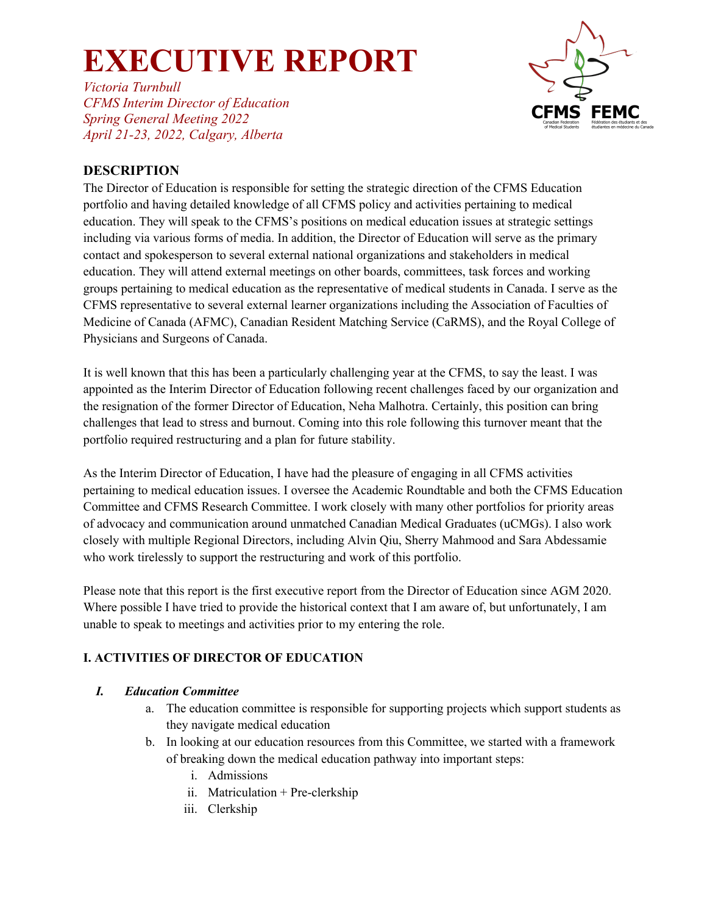*Victoria Turnbull CFMS Interim Director of Education Spring General Meeting 2022 April 21-23, 2022, Calgary, Alberta*



### **DESCRIPTION**

The Director of Education is responsible for setting the strategic direction of the CFMS Education portfolio and having detailed knowledge of all CFMS policy and activities pertaining to medical education. They will speak to the CFMS's positions on medical education issues at strategic settings including via various forms of media. In addition, the Director of Education will serve as the primary contact and spokesperson to several external national organizations and stakeholders in medical education. They will attend external meetings on other boards, committees, task forces and working groups pertaining to medical education as the representative of medical students in Canada. I serve as the CFMS representative to several external learner organizations including the Association of Faculties of Medicine of Canada (AFMC), Canadian Resident Matching Service (CaRMS), and the Royal College of Physicians and Surgeons of Canada.

It is well known that this has been a particularly challenging year at the CFMS, to say the least. I was appointed as the Interim Director of Education following recent challenges faced by our organization and the resignation of the former Director of Education, Neha Malhotra. Certainly, this position can bring challenges that lead to stress and burnout. Coming into this role following this turnover meant that the portfolio required restructuring and a plan for future stability.

As the Interim Director of Education, I have had the pleasure of engaging in all CFMS activities pertaining to medical education issues. I oversee the Academic Roundtable and both the CFMS Education Committee and CFMS Research Committee. I work closely with many other portfolios for priority areas of advocacy and communication around unmatched Canadian Medical Graduates (uCMGs). I also work closely with multiple Regional Directors, including Alvin Qiu, Sherry Mahmood and Sara Abdessamie who work tirelessly to support the restructuring and work of this portfolio.

Please note that this report is the first executive report from the Director of Education since AGM 2020. Where possible I have tried to provide the historical context that I am aware of, but unfortunately, I am unable to speak to meetings and activities prior to my entering the role.

### **I. ACTIVITIES OF DIRECTOR OF EDUCATION**

#### *I. Education Committee*

- a. The education committee is responsible for supporting projects which support students as they navigate medical education
- b. In looking at our education resources from this Committee, we started with a framework of breaking down the medical education pathway into important steps:
	- i. Admissions
	- ii. Matriculation + Pre-clerkship
	- iii. Clerkship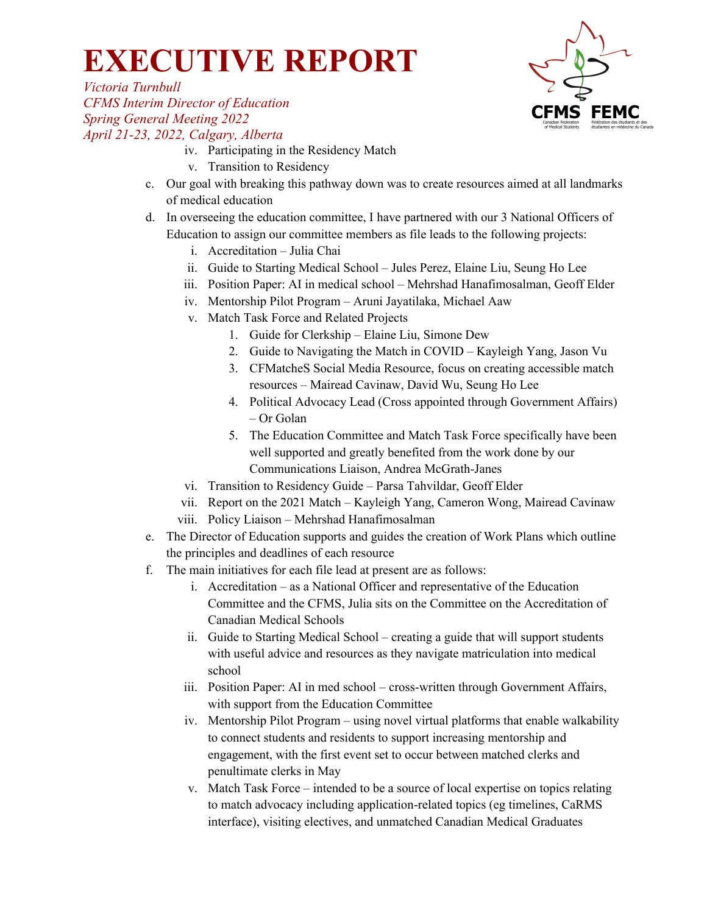

*Victoria Turnbull CFMS Interim Director of Education Spring General Meeting 2022 April 21-23, 2022, Calgary, Alberta*

- iv. Participating in the Residency Match
- v. Transition to Residency
- c. Our goal with breaking this pathway down was to create resources aimed at all landmarks of medical education
- d. In overseeing the education committee, I have partnered with our 3 National Officers of Education to assign our committee members as file leads to the following projects:
	- i. Accreditation Julia Chai
	- ii. Guide to Starting Medical School Jules Perez, Elaine Liu, Seung Ho Lee
	- iii. Position Paper: AI in medical school Mehrshad Hanafimosalman, Geoff Elder
	- iv. Mentorship Pilot Program Aruni Jayatilaka, Michael Aaw
	- v. Match Task Force and Related Projects
		- 1. Guide for Clerkship Elaine Liu, Simone Dew
		- 2. Guide to Navigating the Match in COVID Kayleigh Yang, Jason Vu
		- 3. CFMatcheS Social Media Resource, focus on creating accessible match resources – Mairead Cavinaw, David Wu, Seung Ho Lee
		- 4. Political Advocacy Lead (Cross appointed through Government Affairs) – Or Golan
		- 5. The Education Committee and Match Task Force specifically have been well supported and greatly benefited from the work done by our Communications Liaison, Andrea McGrath-Janes
	- vi. Transition to Residency Guide Parsa Tahvildar, Geoff Elder
	- vii. Report on the 2021 Match Kayleigh Yang, Cameron Wong, Mairead Cavinaw viii. Policy Liaison – Mehrshad Hanafimosalman
- e. The Director of Education supports and guides the creation of Work Plans which outline the principles and deadlines of each resource
- f. The main initiatives for each file lead at present are as follows:
	- i. Accreditation as a National Officer and representative of the Education Committee and the CFMS, Julia sits on the Committee on the Accreditation of Canadian Medical Schools
	- ii. Guide to Starting Medical School creating a guide that will support students with useful advice and resources as they navigate matriculation into medical school
	- iii. Position Paper: AI in med school cross-written through Government Affairs, with support from the Education Committee
	- iv. Mentorship Pilot Program using novel virtual platforms that enable walkability to connect students and residents to support increasing mentorship and engagement, with the first event set to occur between matched clerks and penultimate clerks in May
	- v. Match Task Force intended to be a source of local expertise on topics relating to match advocacy including application-related topics (eg timelines, CaRMS interface), visiting electives, and unmatched Canadian Medical Graduates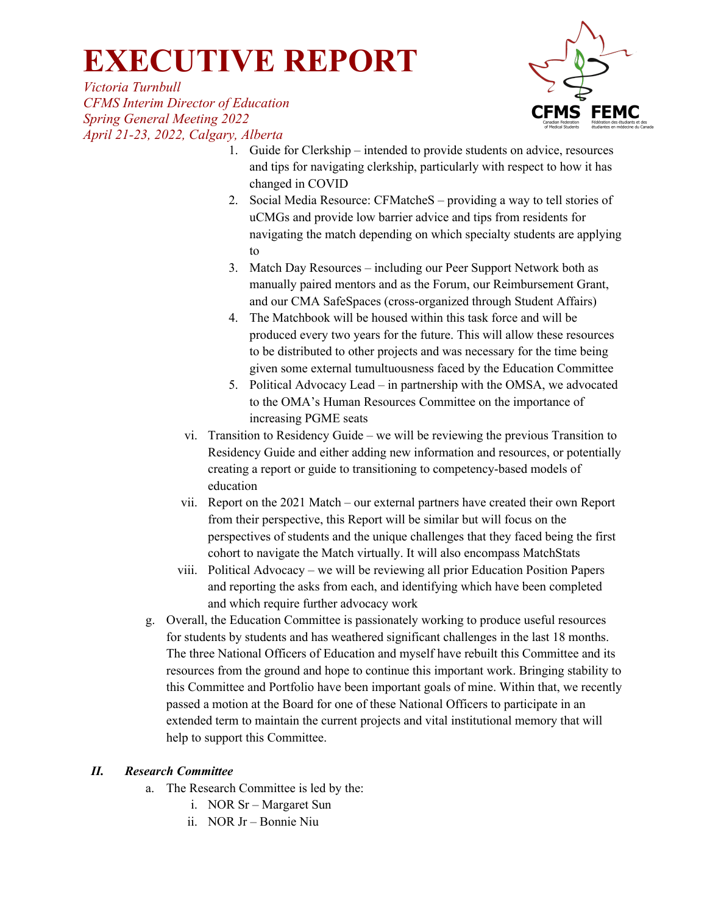*Victoria Turnbull CFMS Interim Director of Education Spring General Meeting 2022 April 21-23, 2022, Calgary, Alberta*



- 1. Guide for Clerkship intended to provide students on advice, resources and tips for navigating clerkship, particularly with respect to how it has changed in COVID
- 2. Social Media Resource: CFMatcheS providing a way to tell stories of uCMGs and provide low barrier advice and tips from residents for navigating the match depending on which specialty students are applying to
- 3. Match Day Resources including our Peer Support Network both as manually paired mentors and as the Forum, our Reimbursement Grant, and our CMA SafeSpaces (cross-organized through Student Affairs)
- 4. The Matchbook will be housed within this task force and will be produced every two years for the future. This will allow these resources to be distributed to other projects and was necessary for the time being given some external tumultuousness faced by the Education Committee
- 5. Political Advocacy Lead in partnership with the OMSA, we advocated to the OMA's Human Resources Committee on the importance of increasing PGME seats
- vi. Transition to Residency Guide we will be reviewing the previous Transition to Residency Guide and either adding new information and resources, or potentially creating a report or guide to transitioning to competency-based models of education
- vii. Report on the 2021 Match our external partners have created their own Report from their perspective, this Report will be similar but will focus on the perspectives of students and the unique challenges that they faced being the first cohort to navigate the Match virtually. It will also encompass MatchStats
- viii. Political Advocacy we will be reviewing all prior Education Position Papers and reporting the asks from each, and identifying which have been completed and which require further advocacy work
- g. Overall, the Education Committee is passionately working to produce useful resources for students by students and has weathered significant challenges in the last 18 months. The three National Officers of Education and myself have rebuilt this Committee and its resources from the ground and hope to continue this important work. Bringing stability to this Committee and Portfolio have been important goals of mine. Within that, we recently passed a motion at the Board for one of these National Officers to participate in an extended term to maintain the current projects and vital institutional memory that will help to support this Committee.

#### *II. Research Committee*

- a. The Research Committee is led by the:
	- i. NOR Sr Margaret Sun
	- ii. NOR Jr Bonnie Niu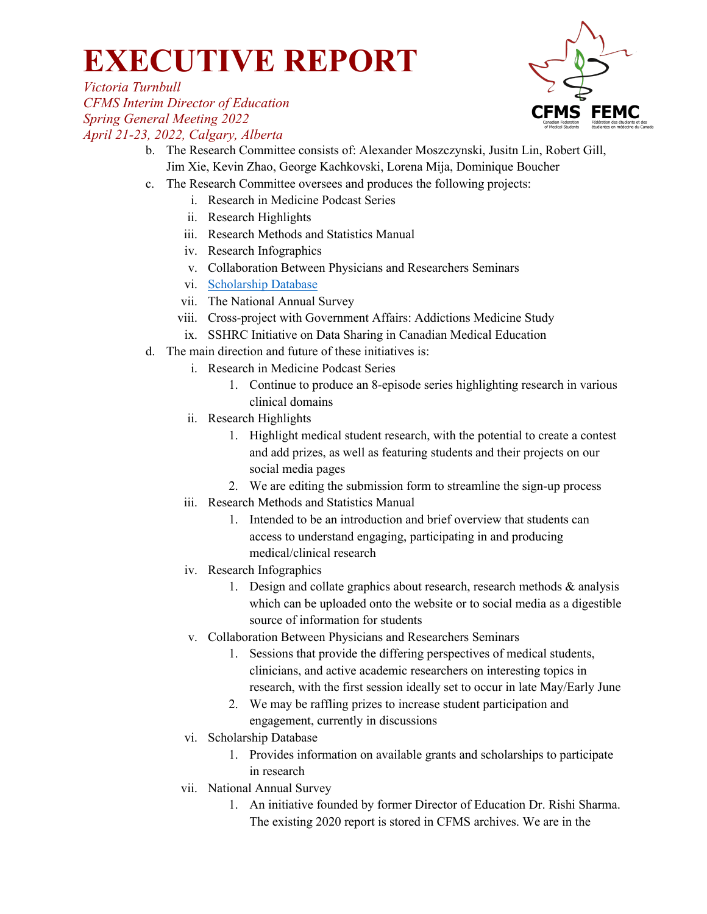

*Victoria Turnbull CFMS Interim Director of Education Spring General Meeting 2022 April 21-23, 2022, Calgary, Alberta*

- b. The Research Committee consists of: Alexander Moszczynski, Jusitn Lin, Robert Gill, Jim Xie, Kevin Zhao, George Kachkovski, Lorena Mija, Dominique Boucher
- c. The Research Committee oversees and produces the following projects:
	- i. Research in Medicine Podcast Series
	- ii. Research Highlights
	- iii. Research Methods and Statistics Manual
	- iv. Research Infographics
	- v. Collaboration Between Physicians and Researchers Seminars
	- vi. Scholarship Database
	- vii. The National Annual Survey
	- viii. Cross-project with Government Affairs: Addictions Medicine Study
	- ix. SSHRC Initiative on Data Sharing in Canadian Medical Education
- d. The main direction and future of these initiatives is:
	- i. Research in Medicine Podcast Series
		- 1. Continue to produce an 8-episode series highlighting research in various clinical domains
	- ii. Research Highlights
		- 1. Highlight medical student research, with the potential to create a contest and add prizes, as well as featuring students and their projects on our social media pages
		- 2. We are editing the submission form to streamline the sign-up process
	- iii. Research Methods and Statistics Manual
		- 1. Intended to be an introduction and brief overview that students can access to understand engaging, participating in and producing medical/clinical research
	- iv. Research Infographics
		- 1. Design and collate graphics about research, research methods & analysis which can be uploaded onto the website or to social media as a digestible source of information for students
	- v. Collaboration Between Physicians and Researchers Seminars
		- 1. Sessions that provide the differing perspectives of medical students, clinicians, and active academic researchers on interesting topics in research, with the first session ideally set to occur in late May/Early June
		- 2. We may be raffling prizes to increase student participation and engagement, currently in discussions
	- vi. Scholarship Database
		- 1. Provides information on available grants and scholarships to participate in research
	- vii. National Annual Survey
		- 1. An initiative founded by former Director of Education Dr. Rishi Sharma. The existing 2020 report is stored in CFMS archives. We are in the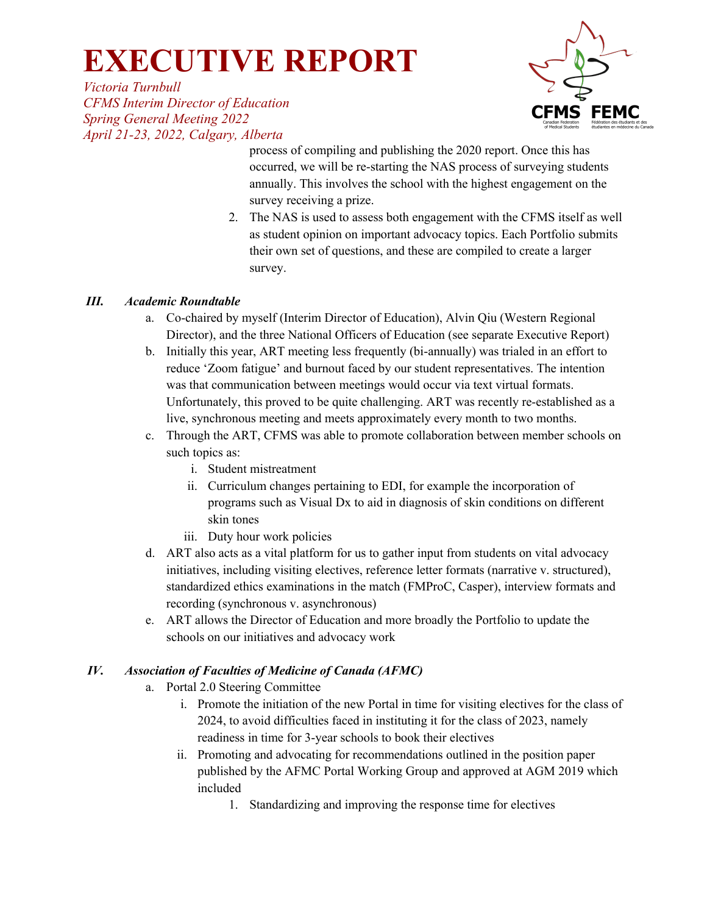*Victoria Turnbull CFMS Interim Director of Education Spring General Meeting 2022 April 21-23, 2022, Calgary, Alberta*



process of compiling and publishing the 2020 report. Once this has occurred, we will be re-starting the NAS process of surveying students annually. This involves the school with the highest engagement on the survey receiving a prize.

2. The NAS is used to assess both engagement with the CFMS itself as well as student opinion on important advocacy topics. Each Portfolio submits their own set of questions, and these are compiled to create a larger survey.

#### *III. Academic Roundtable*

- a. Co-chaired by myself (Interim Director of Education), Alvin Qiu (Western Regional Director), and the three National Officers of Education (see separate Executive Report)
- b. Initially this year, ART meeting less frequently (bi-annually) was trialed in an effort to reduce 'Zoom fatigue' and burnout faced by our student representatives. The intention was that communication between meetings would occur via text virtual formats. Unfortunately, this proved to be quite challenging. ART was recently re-established as a live, synchronous meeting and meets approximately every month to two months.
- c. Through the ART, CFMS was able to promote collaboration between member schools on such topics as:
	- i. Student mistreatment
	- ii. Curriculum changes pertaining to EDI, for example the incorporation of programs such as Visual Dx to aid in diagnosis of skin conditions on different skin tones
	- iii. Duty hour work policies
- d. ART also acts as a vital platform for us to gather input from students on vital advocacy initiatives, including visiting electives, reference letter formats (narrative v. structured), standardized ethics examinations in the match (FMProC, Casper), interview formats and recording (synchronous v. asynchronous)
- e. ART allows the Director of Education and more broadly the Portfolio to update the schools on our initiatives and advocacy work

### *IV. Association of Faculties of Medicine of Canada (AFMC)*

- a. Portal 2.0 Steering Committee
	- i. Promote the initiation of the new Portal in time for visiting electives for the class of 2024, to avoid difficulties faced in instituting it for the class of 2023, namely readiness in time for 3-year schools to book their electives
	- ii. Promoting and advocating for recommendations outlined in the position paper published by the AFMC Portal Working Group and approved at AGM 2019 which included
		- 1. Standardizing and improving the response time for electives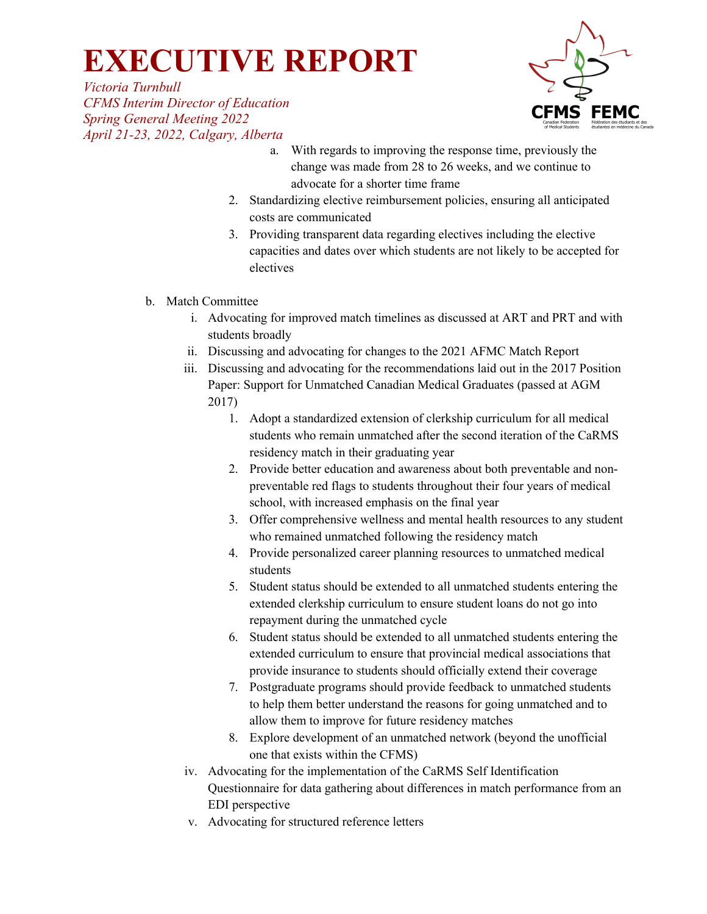*Victoria Turnbull CFMS Interim Director of Education Spring General Meeting 2022 April 21-23, 2022, Calgary, Alberta*



- a. With regards to improving the response time, previously the change was made from 28 to 26 weeks, and we continue to advocate for a shorter time frame
- 2. Standardizing elective reimbursement policies, ensuring all anticipated costs are communicated
- 3. Providing transparent data regarding electives including the elective capacities and dates over which students are not likely to be accepted for electives
- b. Match Committee
	- i. Advocating for improved match timelines as discussed at ART and PRT and with students broadly
	- ii. Discussing and advocating for changes to the 2021 AFMC Match Report
	- iii. Discussing and advocating for the recommendations laid out in the 2017 Position Paper: Support for Unmatched Canadian Medical Graduates (passed at AGM 2017)
		- 1. Adopt a standardized extension of clerkship curriculum for all medical students who remain unmatched after the second iteration of the CaRMS residency match in their graduating year
		- 2. Provide better education and awareness about both preventable and nonpreventable red flags to students throughout their four years of medical school, with increased emphasis on the final year
		- 3. Offer comprehensive wellness and mental health resources to any student who remained unmatched following the residency match
		- 4. Provide personalized career planning resources to unmatched medical students
		- 5. Student status should be extended to all unmatched students entering the extended clerkship curriculum to ensure student loans do not go into repayment during the unmatched cycle
		- 6. Student status should be extended to all unmatched students entering the extended curriculum to ensure that provincial medical associations that provide insurance to students should officially extend their coverage
		- 7. Postgraduate programs should provide feedback to unmatched students to help them better understand the reasons for going unmatched and to allow them to improve for future residency matches
		- 8. Explore development of an unmatched network (beyond the unofficial one that exists within the CFMS)
	- iv. Advocating for the implementation of the CaRMS Self Identification Questionnaire for data gathering about differences in match performance from an EDI perspective
	- v. Advocating for structured reference letters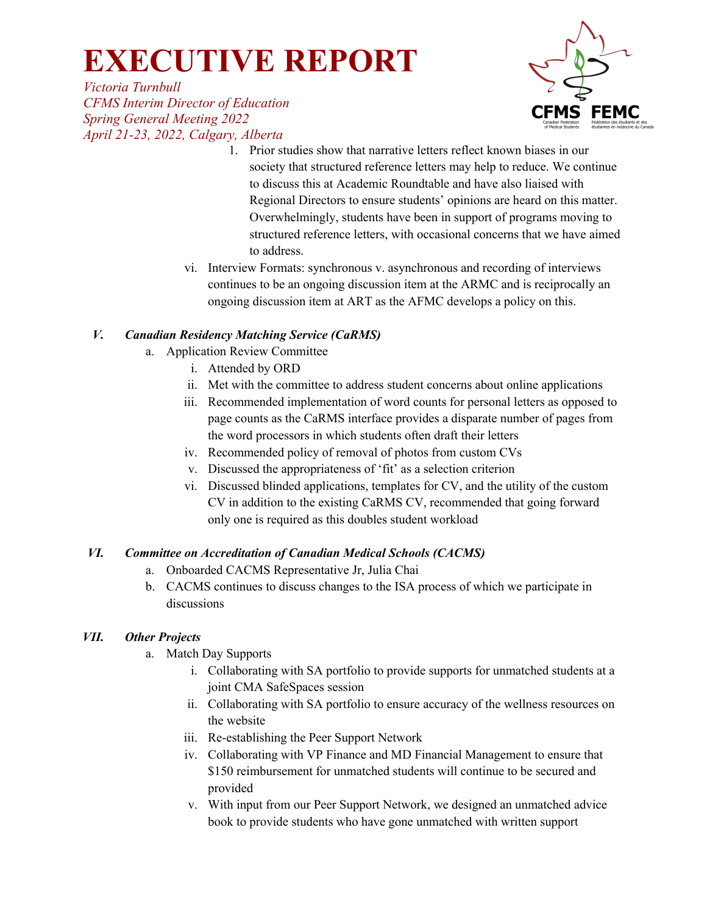FEMC

*Victoria Turnbull CFMS Interim Director of Education Spring General Meeting 2022 April 21-23, 2022, Calgary, Alberta*

- 1. Prior studies show that narrative letters reflect known biases in our society that structured reference letters may help to reduce. We continue to discuss this at Academic Roundtable and have also liaised with Regional Directors to ensure students' opinions are heard on this matter. Overwhelmingly, students have been in support of programs moving to structured reference letters, with occasional concerns that we have aimed to address.
- vi. Interview Formats: synchronous v. asynchronous and recording of interviews continues to be an ongoing discussion item at the ARMC and is reciprocally an ongoing discussion item at ART as the AFMC develops a policy on this.

### *V. Canadian Residency Matching Service (CaRMS)*

- a. Application Review Committee
	- i. Attended by ORD
	- ii. Met with the committee to address student concerns about online applications
	- iii. Recommended implementation of word counts for personal letters as opposed to page counts as the CaRMS interface provides a disparate number of pages from the word processors in which students often draft their letters
	- iv. Recommended policy of removal of photos from custom CVs
	- v. Discussed the appropriateness of 'fit' as a selection criterion
	- vi. Discussed blinded applications, templates for CV, and the utility of the custom CV in addition to the existing CaRMS CV, recommended that going forward only one is required as this doubles student workload

### *VI. Committee on Accreditation of Canadian Medical Schools (CACMS)*

- a. Onboarded CACMS Representative Jr, Julia Chai
- b. CACMS continues to discuss changes to the ISA process of which we participate in discussions

#### *VII. Other Projects*

- a. Match Day Supports
	- i. Collaborating with SA portfolio to provide supports for unmatched students at a joint CMA SafeSpaces session
	- ii. Collaborating with SA portfolio to ensure accuracy of the wellness resources on the website
	- iii. Re-establishing the Peer Support Network
	- iv. Collaborating with VP Finance and MD Financial Management to ensure that \$150 reimbursement for unmatched students will continue to be secured and provided
	- v. With input from our Peer Support Network, we designed an unmatched advice book to provide students who have gone unmatched with written support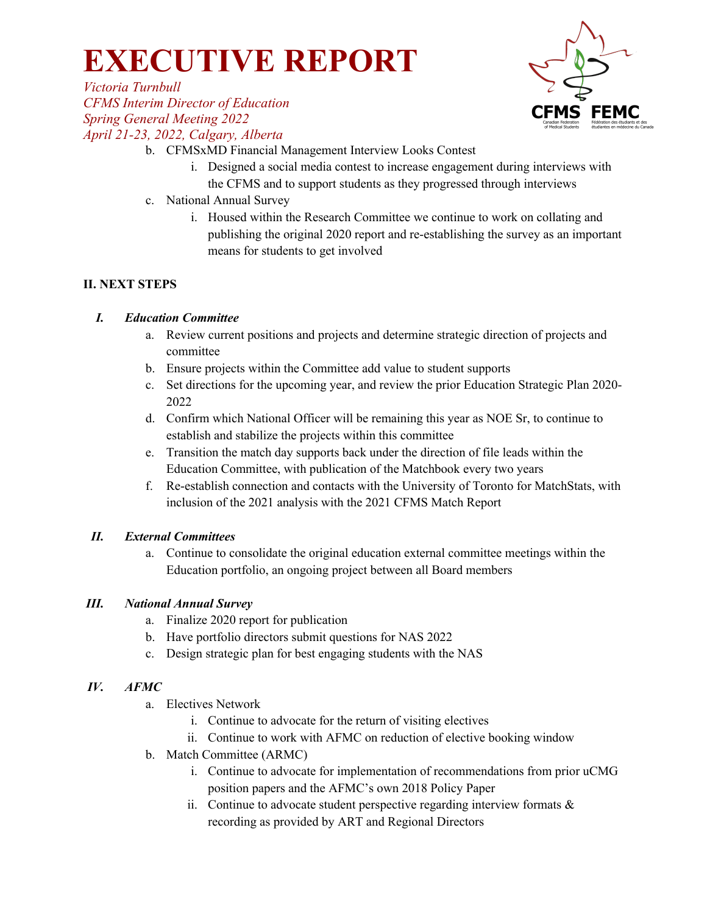

*Victoria Turnbull CFMS Interim Director of Education Spring General Meeting 2022 April 21-23, 2022, Calgary, Alberta*

- b. CFMSxMD Financial Management Interview Looks Contest
	- i. Designed a social media contest to increase engagement during interviews with the CFMS and to support students as they progressed through interviews
- c. National Annual Survey
	- i. Housed within the Research Committee we continue to work on collating and publishing the original 2020 report and re-establishing the survey as an important means for students to get involved

#### **II. NEXT STEPS**

#### *I. Education Committee*

- a. Review current positions and projects and determine strategic direction of projects and committee
- b. Ensure projects within the Committee add value to student supports
- c. Set directions for the upcoming year, and review the prior Education Strategic Plan 2020- 2022
- d. Confirm which National Officer will be remaining this year as NOE Sr, to continue to establish and stabilize the projects within this committee
- e. Transition the match day supports back under the direction of file leads within the Education Committee, with publication of the Matchbook every two years
- f. Re-establish connection and contacts with the University of Toronto for MatchStats, with inclusion of the 2021 analysis with the 2021 CFMS Match Report

#### *II. External Committees*

a. Continue to consolidate the original education external committee meetings within the Education portfolio, an ongoing project between all Board members

#### *III. National Annual Survey*

- a. Finalize 2020 report for publication
- b. Have portfolio directors submit questions for NAS 2022
- c. Design strategic plan for best engaging students with the NAS

#### *IV. AFMC*

- a. Electives Network
	- i. Continue to advocate for the return of visiting electives
	- ii. Continue to work with AFMC on reduction of elective booking window
- b. Match Committee (ARMC)
	- i. Continue to advocate for implementation of recommendations from prior uCMG position papers and the AFMC's own 2018 Policy Paper
	- ii. Continue to advocate student perspective regarding interview formats & recording as provided by ART and Regional Directors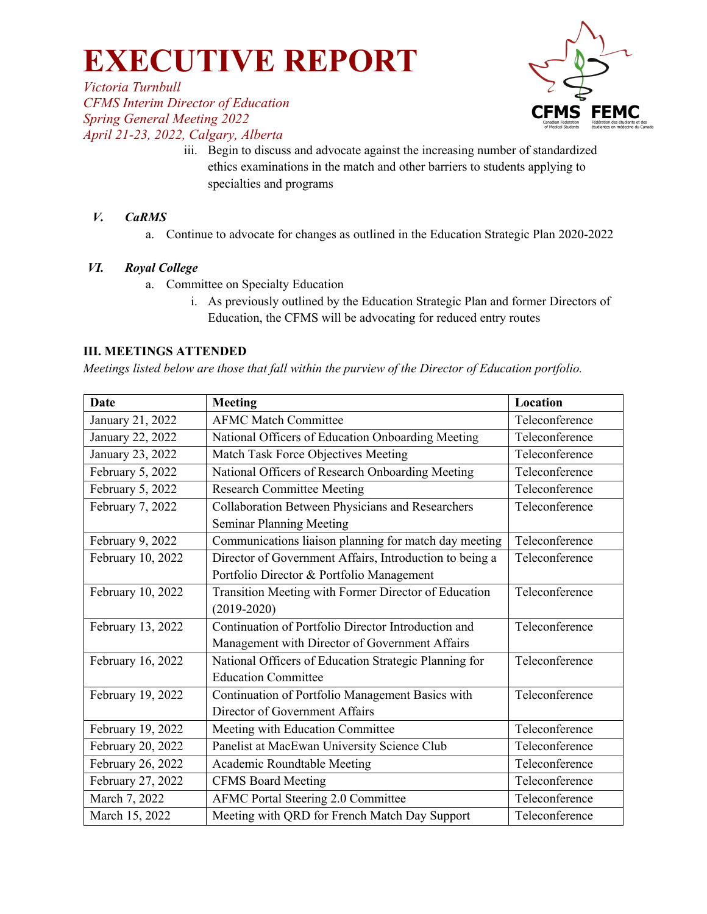*Victoria Turnbull CFMS Interim Director of Education Spring General Meeting 2022 April 21-23, 2022, Calgary, Alberta*



iii. Begin to discuss and advocate against the increasing number of standardized ethics examinations in the match and other barriers to students applying to specialties and programs

#### *V. CaRMS*

a. Continue to advocate for changes as outlined in the Education Strategic Plan 2020-2022

#### *VI. Royal College*

- a. Committee on Specialty Education
	- i. As previously outlined by the Education Strategic Plan and former Directors of Education, the CFMS will be advocating for reduced entry routes

#### **III. MEETINGS ATTENDED**

*Meetings listed below are those that fall within the purview of the Director of Education portfolio.* 

| <b>Date</b>       | <b>Meeting</b>                                          | Location       |
|-------------------|---------------------------------------------------------|----------------|
| January 21, 2022  | <b>AFMC Match Committee</b>                             | Teleconference |
| January 22, 2022  | National Officers of Education Onboarding Meeting       | Teleconference |
| January 23, 2022  | Match Task Force Objectives Meeting                     | Teleconference |
| February 5, 2022  | National Officers of Research Onboarding Meeting        | Teleconference |
| February 5, 2022  | <b>Research Committee Meeting</b>                       | Teleconference |
| February 7, 2022  | Collaboration Between Physicians and Researchers        | Teleconference |
|                   | <b>Seminar Planning Meeting</b>                         |                |
| February 9, 2022  | Communications liaison planning for match day meeting   | Teleconference |
| February 10, 2022 | Director of Government Affairs, Introduction to being a | Teleconference |
|                   | Portfolio Director & Portfolio Management               |                |
| February 10, 2022 | Transition Meeting with Former Director of Education    | Teleconference |
|                   | $(2019 - 2020)$                                         |                |
| February 13, 2022 | Continuation of Portfolio Director Introduction and     | Teleconference |
|                   | Management with Director of Government Affairs          |                |
| February 16, 2022 | National Officers of Education Strategic Planning for   | Teleconference |
|                   | <b>Education Committee</b>                              |                |
| February 19, 2022 | Continuation of Portfolio Management Basics with        | Teleconference |
|                   | Director of Government Affairs                          |                |
| February 19, 2022 | Meeting with Education Committee                        | Teleconference |
| February 20, 2022 | Panelist at MacEwan University Science Club             | Teleconference |
| February 26, 2022 | Academic Roundtable Meeting                             | Teleconference |
| February 27, 2022 | <b>CFMS Board Meeting</b>                               | Teleconference |
| March 7, 2022     | <b>AFMC Portal Steering 2.0 Committee</b>               | Teleconference |
| March 15, 2022    | Meeting with QRD for French Match Day Support           | Teleconference |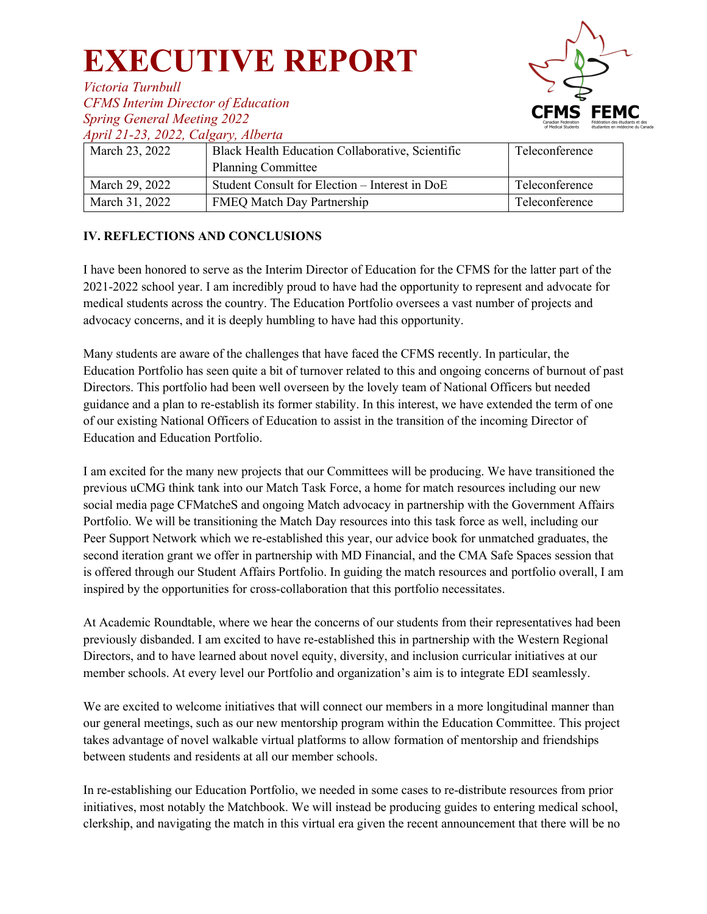

*Victoria Turnbull CFMS Interim Director of Education Spring General Meeting 2022*

*April 21-23, 2022, Calgary, Alberta*

| $11p1w = 1$ $10p$ , $10p$ , $11p$<br>March 23, 2022 | Black Health Education Collaborative, Scientific                            | Teleconference |
|-----------------------------------------------------|-----------------------------------------------------------------------------|----------------|
| March 29, 2022                                      | <b>Planning Committee</b><br>Student Consult for Election - Interest in DoE | Teleconference |
| March 31, 2022                                      | <b>FMEQ Match Day Partnership</b>                                           | Teleconference |

#### **IV. REFLECTIONS AND CONCLUSIONS**

I have been honored to serve as the Interim Director of Education for the CFMS for the latter part of the 2021-2022 school year. I am incredibly proud to have had the opportunity to represent and advocate for medical students across the country. The Education Portfolio oversees a vast number of projects and advocacy concerns, and it is deeply humbling to have had this opportunity.

Many students are aware of the challenges that have faced the CFMS recently. In particular, the Education Portfolio has seen quite a bit of turnover related to this and ongoing concerns of burnout of past Directors. This portfolio had been well overseen by the lovely team of National Officers but needed guidance and a plan to re-establish its former stability. In this interest, we have extended the term of one of our existing National Officers of Education to assist in the transition of the incoming Director of Education and Education Portfolio.

I am excited for the many new projects that our Committees will be producing. We have transitioned the previous uCMG think tank into our Match Task Force, a home for match resources including our new social media page CFMatcheS and ongoing Match advocacy in partnership with the Government Affairs Portfolio. We will be transitioning the Match Day resources into this task force as well, including our Peer Support Network which we re-established this year, our advice book for unmatched graduates, the second iteration grant we offer in partnership with MD Financial, and the CMA Safe Spaces session that is offered through our Student Affairs Portfolio. In guiding the match resources and portfolio overall, I am inspired by the opportunities for cross-collaboration that this portfolio necessitates.

At Academic Roundtable, where we hear the concerns of our students from their representatives had been previously disbanded. I am excited to have re-established this in partnership with the Western Regional Directors, and to have learned about novel equity, diversity, and inclusion curricular initiatives at our member schools. At every level our Portfolio and organization's aim is to integrate EDI seamlessly.

We are excited to welcome initiatives that will connect our members in a more longitudinal manner than our general meetings, such as our new mentorship program within the Education Committee. This project takes advantage of novel walkable virtual platforms to allow formation of mentorship and friendships between students and residents at all our member schools.

In re-establishing our Education Portfolio, we needed in some cases to re-distribute resources from prior initiatives, most notably the Matchbook. We will instead be producing guides to entering medical school, clerkship, and navigating the match in this virtual era given the recent announcement that there will be no